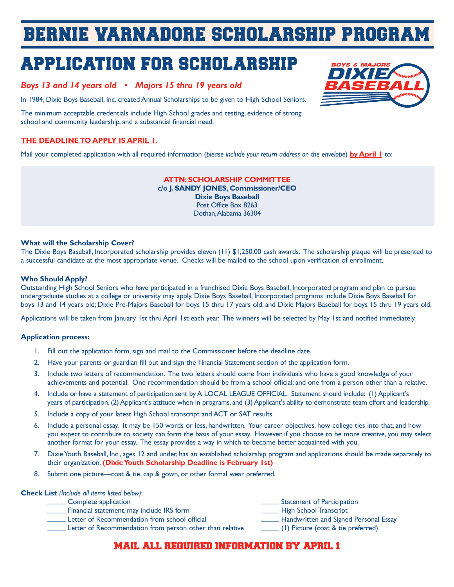# BERNIE VARNADORE SCHOLARSHIP PROGRAM

# APPLICATION FOR SCHOLARSHIP

### *Boys 13 and 14 years old • Majors 15 thru 19 years old*

In 1984, Dixie Boys Baseball, Inc. created Annual Scholarships to be given to High School Seniors.

The minimum acceptable credentials include High School grades and testing, evidence of strong school and community leadership, and a substantial financial need.

### **THE DEADLINE TO APPLY IS APRIL 1.**

Mail your completed application with all required information (*please include your return address on the envelope*) **by April 1** to:

**ATTN: SCHOLARSHIP COMMITTEE c/o J. SANDY JONES, Commissioner/CEO Dixie Boys Baseball** Post Office Box 8263 Dothan, Alabama 36304

#### **What will the Scholarship Cover?**

The Dixie Boys Baseball, Incorporated scholarship provides eleven (11) \$1,250.00 cash awards. The scholarship plaque will be presented to a successful candidate at the most appropriate venue. Checks will be mailed to the school upon verification of enrollment.

#### **Who Should Apply?**

Outstanding High School Seniors who have participated in a franchised Dixie Boys Baseball, Incorporated program and plan to pursue undergraduate studies at a college or university may apply. Dixie Boys Baseball, Incorporated programs include Dixie Boys Baseball for boys 13 and 14 years old; Dixie Pre-Majors Baseball for boys 15 thru 17 years old; and Dixie Majors Baseball for boys 15 thru 19 years old.

Applications will be taken from January 1st thru April 1st each year. The winners will be selected by May 1st and notified immediately.

#### **Application process:**

- 1. Fill out the application form, sign and mail to the Commissioner before the deadline date.
- 2. Have your parents or guardian fill out and sign the Financial Statement section of the application form.
- 3. Include two letters of recommendation. The two letters should come from individuals who have a good knowledge of your achievements and potential. One recommendation should be from a school official; and one from a person other than a relative.
- 4. Include or have a statement of participation sent by A LOCAL LEAGUE OFFICIAL. Statement should include: (1) Applicant's years of participation, (2) Applicant's attitude when in programs, and (3) Applicant's ability to demonstrate team effort and leadership.
- 5. Include a copy of your latest High School transcript and ACT or SAT results.
- 6. Include a personal essay. It may be 150 words or less, handwritten. Your career objectives, how college ties into that, and how you expect to contribute to society can form the basis of your essay. However, if you choose to be more creative, you may select another format for your essay. The essay provides a way in which to become better acquainted with you.
- 7. Dixie Youth Baseball, Inc., ages 12 and under, has an established scholarship program and applications should be made separately to their organization. **(Dixie Youth Scholarship Deadline is February 1st)**
- 8. Submit one picture—coat & tie, cap & gown, or other formal wear preferred.

#### **Check List** *(Include all items listed below)*:

| Complete application                                     | Statement of Participation                                                                                                                                                                                                                                                                                                                                                                                            |
|----------------------------------------------------------|-----------------------------------------------------------------------------------------------------------------------------------------------------------------------------------------------------------------------------------------------------------------------------------------------------------------------------------------------------------------------------------------------------------------------|
| Financial statement, may include IRS form                | - High School Transcript                                                                                                                                                                                                                                                                                                                                                                                              |
| Letter of Recommendation from school official            | <b>Handwritten and Signed Personal Essay</b>                                                                                                                                                                                                                                                                                                                                                                          |
| Letter of Recommendation from person other than relative | $\frac{1}{\sqrt{1-\frac{1}{1-\frac{1}{1-\frac{1}{1-\frac{1}{1-\frac{1}{1-\frac{1}{1-\frac{1}{1-\frac{1}{1-\frac{1}{1-\frac{1}{1-\frac{1}{1-\frac{1}{1-\frac{1}{1-\frac{1}{1-\frac{1}{1-\frac{1}{1-\frac{1}{1-\frac{1}{1-\frac{1}{1-\frac{1}{1-\frac{1}{1-\frac{1}{1-\frac{1}{1-\frac{1}{1-\frac{1}{1-\frac{1}{1-\frac{1}{1-\frac{1}{1-\frac{1}{1-\frac{1}{1-\frac{1}{1-\frac{1}{1-\frac{1}{1-\frac{1}{1-\frac{1}{1-\$ |
|                                                          |                                                                                                                                                                                                                                                                                                                                                                                                                       |

## MAIL ALL REQUIRED INFORMATION BY APRIL 1

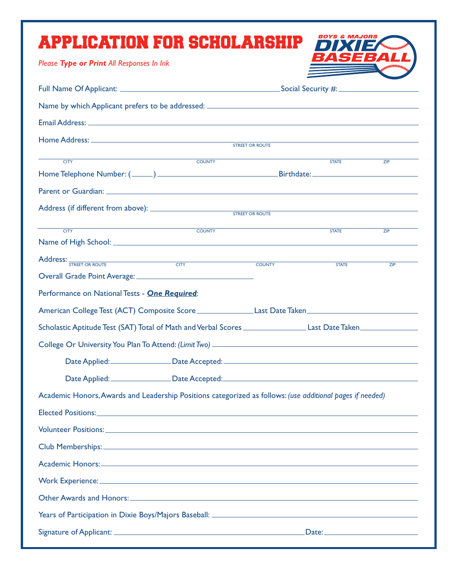| APPLICATION FOR SCHOLARSHIP                                                                                     |               |                 | <i><b>VIAJORS</b></i> |     |
|-----------------------------------------------------------------------------------------------------------------|---------------|-----------------|-----------------------|-----|
| Please Type or Print All Responses In Ink                                                                       |               |                 | '33                   |     |
|                                                                                                                 |               |                 |                       |     |
|                                                                                                                 |               |                 |                       |     |
|                                                                                                                 |               |                 |                       |     |
|                                                                                                                 |               | STREET OR ROUTE |                       |     |
|                                                                                                                 |               |                 |                       |     |
| <b>CITY</b>                                                                                                     | <b>COUNTY</b> |                 | <b>STATE</b>          | ZIP |
|                                                                                                                 |               |                 |                       |     |
|                                                                                                                 |               |                 |                       |     |
|                                                                                                                 |               |                 |                       |     |
| <b>CITY</b>                                                                                                     | COUNTY        |                 | <b>STATE</b>          | ZIP |
|                                                                                                                 |               | <b>COUNTY</b>   | <b>STATE</b>          | ZIP |
|                                                                                                                 |               |                 |                       |     |
| Performance on National Tests - One Required:                                                                   |               |                 |                       |     |
| American College Test (ACT) Composite Score _________________Last Date Taken__________________________________  |               |                 |                       |     |
| Scholastic Aptitude Test (SAT) Total of Math and Verbal Scores ____________________Last Date Taken_____________ |               |                 |                       |     |
|                                                                                                                 |               |                 |                       |     |
| Date Applied: Date Accepted: Date Accepted: 2004                                                                |               |                 |                       |     |
| Date Applied: <u>Date Accepted:</u> Campaigned: Date Accepted: Campaigned: 2014                                 |               |                 |                       |     |
| Academic Honors, Awards and Leadership Positions categorized as follows: (use additional pages if needed)       |               |                 |                       |     |
|                                                                                                                 |               |                 |                       |     |
|                                                                                                                 |               |                 |                       |     |
|                                                                                                                 |               |                 |                       |     |
|                                                                                                                 |               |                 |                       |     |
|                                                                                                                 |               |                 |                       |     |
| Work Experience: www.astronomia.com/www.astronomia.com/www.astronomia.com/www.astronomia.com/www.astronomia.co  |               |                 |                       |     |
|                                                                                                                 |               |                 |                       |     |
|                                                                                                                 |               |                 |                       |     |
|                                                                                                                 |               |                 |                       |     |